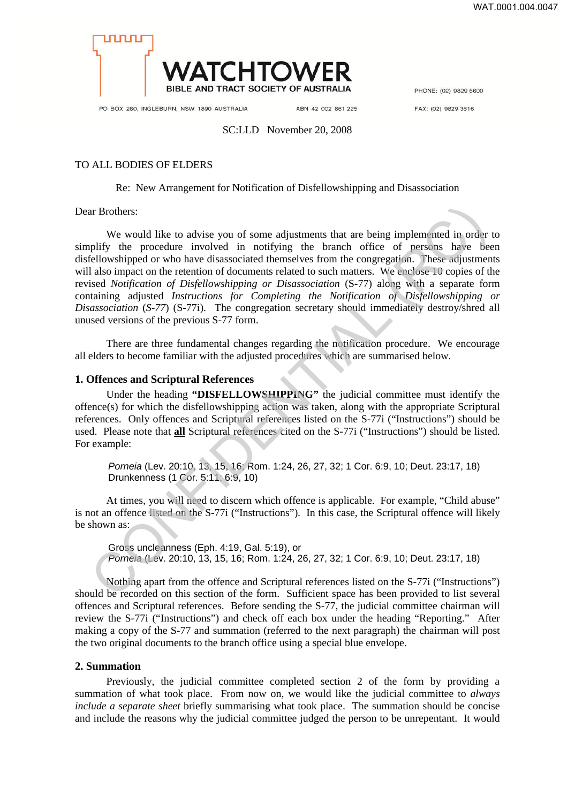

PHONE: (02) 9829 5600

PO BOX 280, INGLEBURN, NSW 1890 AUSTRALIA

ABN 42 002 861 225

FAX: (02) 9829 3616

#### SC:LLD November 20, 2008

## TO ALL BODIES OF ELDERS

## Re: New Arrangement for Notification of Disfellowshipping and Disassociation

Dear Brothers:

We would like to advise you of some adjustments that are being implemented in order to simplify the procedure involved in notifying the branch office of persons have been disfellowshipped or who have disassociated themselves from the congregation. These adjustments will also impact on the retention of documents related to such matters. We enclose 10 copies of the revised *Notification of Disfellowshipping or Disassociation* (S-77) along with a separate form containing adjusted *Instructions for Completing the Notification of Disfellowshipping or Disassociation* (*S-77*) (S-77i). The congregation secretary should immediately destroy/shred all unused versions of the previous S-77 form. If Brothers:<br>
We would like to advise you of some adjustments that are being implemented in order<br>
plifty the procedure involved in notifying the branch office of persons have bise<br>
fellowshipped or who have disassociated

There are three fundamental changes regarding the notification procedure. We encourage all elders to become familiar with the adjusted procedures which are summarised below.

## **1. Offences and Scriptural References**

Under the heading **"DISFELLOWSHIPPING"** the judicial committee must identify the offence(s) for which the disfellowshipping action was taken, along with the appropriate Scriptural references. Only offences and Scriptural references listed on the S-77i ("Instructions") should be used. Please note that **all** Scriptural references cited on the S-77i ("Instructions") should be listed. For example:

*Porneia* (Lev. 20:10, 13, 15, 16; Rom. 1:24, 26, 27, 32; 1 Cor. 6:9, 10; Deut. 23:17, 18) Drunkenness (1 Cor. 5:11; 6:9, 10)

At times, you will need to discern which offence is applicable. For example, "Child abuse" is not an offence listed on the S-77i ("Instructions"). In this case, the Scriptural offence will likely be shown as:

Gross uncleanness (Eph. 4:19, Gal. 5:19), or *Porneia* (Lev. 20:10, 13, 15, 16; Rom. 1:24, 26, 27, 32; 1 Cor. 6:9, 10; Deut. 23:17, 18)

Nothing apart from the offence and Scriptural references listed on the S-77i ("Instructions") should be recorded on this section of the form. Sufficient space has been provided to list several offences and Scriptural references. Before sending the S-77, the judicial committee chairman will review the S-77i ("Instructions") and check off each box under the heading "Reporting." After making a copy of the S-77 and summation (referred to the next paragraph) the chairman will post the two original documents to the branch office using a special blue envelope.

## **2. Summation**

Previously, the judicial committee completed section 2 of the form by providing a summation of what took place. From now on, we would like the judicial committee to *always include a separate sheet* briefly summarising what took place. The summation should be concise and include the reasons why the judicial committee judged the person to be unrepentant. It would